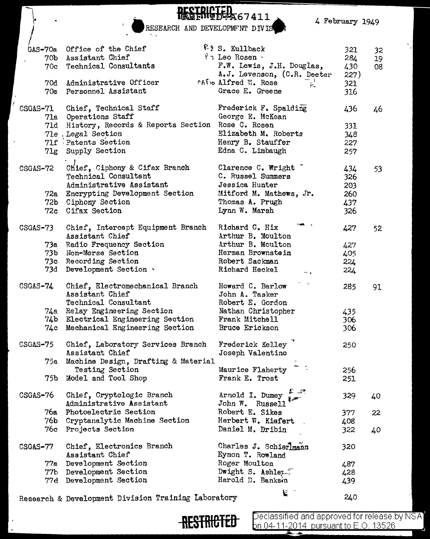4 February 1949

**DECTRICTED**<br>RESEARCH AND DEVELOPMFNT DIVIS

 $\int$ 

 $\overline{1}$ 

 $\cdot$ 

| GAS-70a<br>70 <sub>b</sub><br>70c | Office of the Chief<br>Assistant Chief<br>Technical Consultants<br>70d Administrative Officer<br>70e Personnel Assistant                                                                | <sup><i>(2)</i></sup> S. Kullback<br>$\gamma$ Leo Rosen -<br>F.W. Lewis, J.H. Douglas,<br>A.J. Levenson, (C.R. Deeter<br><b>CATO Alfred W. Rose</b><br>$P_{\pm}$<br>Grace E. Greene | 321<br>284<br>430<br>227)<br>321<br>316 | 32<br>19<br>08 |
|-----------------------------------|-----------------------------------------------------------------------------------------------------------------------------------------------------------------------------------------|-------------------------------------------------------------------------------------------------------------------------------------------------------------------------------------|-----------------------------------------|----------------|
| CSGAS-71                          | Chief, Technical Staff<br>71a Operations Staff<br>71d History, Records & Reports Section Rose C. Rosen<br>71e . Legal Section<br>71f Patents Section<br>71g Supply Section              | Frederick F. Spalding<br>George E. McKean<br>Elizabeth M. Roberts<br>Henry B. Stauffer<br>Edna C. Limbaugh                                                                          | 436<br>331<br>348<br>227<br>257         | 46             |
| $CSGAS-72$                        | Chief, Ciphony & Cifax Branch<br>Technical Consultant<br>Administrative Assistant<br>72a Encrypting Development Section<br>72b Ciphony Section<br>72c Cifax Section                     | Clarence C. Wright<br>C. Russel Summers<br>Jessica Hunter<br>Mitford M. Mathews, Jr.<br>Thomas A. Prugh<br>Lynn W. Marsh                                                            | 434<br>326<br>203<br>260<br>437<br>326  | 53             |
| CSGAS-73                          | Chief, Intercept Equipment Branch<br>Assistant Chief<br>73a Radio Frequency Section<br>73b Non-Morse Section<br>73c Recording Section<br>73d Development Section .                      | Richard C. Hix<br>Arthur B. Moulton<br>Arthur B. Moulton<br>Herman Brownstein<br>Robert Sackman<br>Richard Heckel<br>$-7$                                                           | 427<br>427<br>405<br>224<br>224         | 52             |
| $CSGAS-74$                        | Chief, Electromechanical Branch<br>Assistant Chief<br>Technical Consultant<br>74a Relay Engineering Section<br>74b Electrical Engineering Section<br>74c Mechanical Engineering Section | Howard C. Barlow<br>John A. Tasker<br>Robert E. Gordon<br>Nathan Christopher<br>Frank Mitchell<br>Bruce Erickson                                                                    | 285<br>435<br>306<br>306                | 91             |
| CSGAS-75<br>75b l                 | Chief, Laboratory Services Branch<br>Assistant Chief<br>75a Machine Design, Drafting & Material<br>Testing Section<br>Model and Tool Shop                                               | Frederick Kelley<br>Joseph Valentino<br>Maurice Flaherty<br>Frank E. Trost                                                                                                          | 250<br>256<br>251                       |                |
| CSGAS-76<br>76a -                 | Chief, Cryptologic Branch<br>Administrative Assistant<br>Photoelectric Section<br>76b Cryptanalytic Machine Section<br>76c Projects Section                                             | Arnold I. Dumey<br>John W. Russell<br>Robert E. Sikes<br>Herbert W. Kiefert<br>Daniel M. Dribin                                                                                     | 329<br>377<br>408<br>322                | 40<br>22<br>40 |
| CSGAS-77<br>77а                   | Chief, Electronics Branch<br>Assistant Chief<br>Development Section<br>77b Development Section<br>77d Development Section                                                               | Charles J. Schierlmann<br>Eynon T. Rowland<br>Roger Moulton<br>Dwight S. Ashler.<br>Harold D. Banksin                                                                               | 320<br>487<br>428<br>439                |                |

Research & Development Division Training Laboratory <sup>~</sup>-



**RESTRICTED** Peclassified and approved for release by NSA<sup>1</sup><br>en 04-11-2014 pursuant to E.O. 13526 **bn 04-11-2014** pursuant to E.O. 13526

240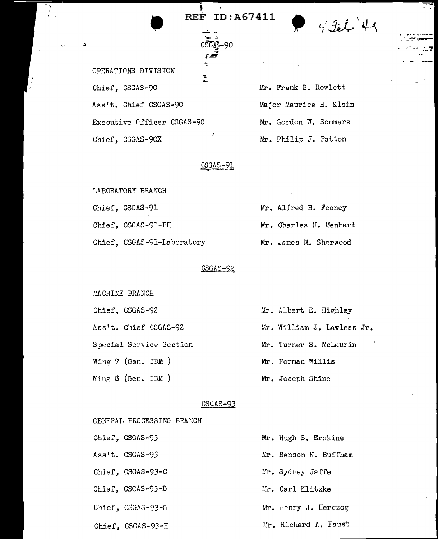• REF ID:A67411

j.

 $4214$ 

- ---=-=~ - . - ...... -~"'-"'7

OPERATIONS DIVISION Chief, CSGAS-90 Ass't. Chief CSGAS-90 Executive Cfficer CSGAS-90 Chief, CSGAS-90X

Mr. Frank B. Rowlett Major Maurice H. Klein Mr. Gordon W. Sommers Mr. Philip J. Patton

#### $CSGAS-91$

LABORATORY BRANCH Chief, CSGAS-91 Chief, CSGAS-91-PH Chief, CSGAS-91-Laboratory

GENERAL PROCESSING BRANCH

# Mr. Alfred H. Feeney Mr. Charles H. Uenhart Mr. James M. Sherwood

### CSGAS-92

MACHINE BRANCH Chief, CSGAS-92 Ass't. Chief CSGAS-92 Special Service Section Wing 7 (Gen. IBM ) Wing 8 (Gen. IBM ) Mr. Albert E. Highley Mr. William J. Lawless Jr. Mr. Turner S. McLaurin Mr. Norman Willis Mr. Joseph Shine

### CSGAS-93

Chief, CSGAS-93 Ass't. CSGAS-93 Chief, CSGAS-93-C Chief, CSGAS-93-D Chief, CSGAS-93-G Chief, CSGAS-93-H Mr. Hugh S. Erskine Mr. Benson K. Buffliam Mr. Sydney Jaffe Mr. Carl Klitzke Mr. Henry J. Herczog Mr. Richard A. Faust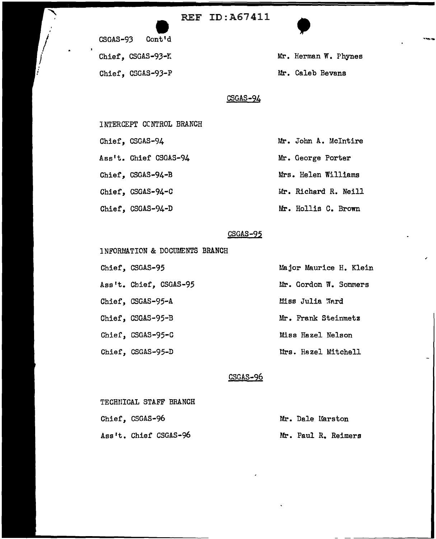## REF ID:A67411





Mr. Herman W. Phynes Mr. Caleb Bevans

### CSGAS-94

INTERCEPT CONTROL BRANCH

Chief, CSGAS-94

Ass't. Chief CSGAS-94

Chief, CSGAS-94-B

Chief, CSGAS-94-C

Chief, CSGAS-94-D

Mr. George Porter Mrs. Helen Williams Mr. Richard R. Neill Mr. Hollis C. Brown

Mr. John A. Mcintire

### CSGAS-95

lNFORUATION & DOCUMENTS BRANCH

Chief, CSGAS-95 Ass 1t. Chief, CSGAS-95 Chief, CSGAS-95-A Chief, CSGAS-95-B Chief, CSGAS-95-C Chief, CSGAS-95-D

Uajor Maurice H. Klein Mr. Gordon W. Sommers Miss Julia Ward Mr. Frank Steinmetz Miss Hazel Nelson Mrs. Hazel Mitchell

### CSGAS-96

| TECHNICAL STAFF BRANCH |  |  |                  |                     |
|------------------------|--|--|------------------|---------------------|
| Chief, CSGAS-96        |  |  | Mr. Dale Marston |                     |
| Ass't. Chief CSGAS-96  |  |  |                  | Mr. Paul R. Reimers |